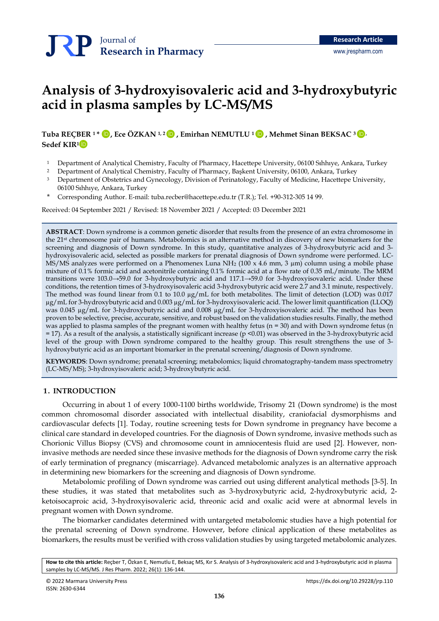# **Analysis of 3-hydroxyisovaleric acid and 3-hydroxybutyric acid in plasma samples by LC-MS/MS**

**Tuba REÇBER <sup>1</sup>\* , Ece ÖZKAN 1, <sup>2</sup> , Emirhan NEMUTLU <sup>1</sup>, Mehmet Sinan BEKSAC 3,**  [İD](https://orcid.org/0000-0001-8257-7628) [İD](https://orcid.org/0000-0001-7529-5569) [İD](https://orcid.org/0000-0002-7337-6215) İD **Sedef KIR<sup>1</sup>** [İD](https://orcid.org/0000-0003-1322-1665)

<sup>1</sup> Department of Analytical Chemistry, Faculty of Pharmacy, Hacettepe University, 06100 Sıhhıye, Ankara, Turkey

<sup>2</sup> Department of Analytical Chemistry, Faculty of Pharmacy, Başkent University, 06100, Ankara, Turkey

- <sup>3</sup> Department of Obstetrics and Gynecology, Division of Perinatology, Faculty of Medicine, Hacettepe University, 06100 Sıhhıye, Ankara, Turkey
- \* Corresponding Author. E-mail: [tuba.recber@hacettepe.edu.tr](mailto:tuba.recber@hacettepe.edu.tr) (T.R.); Tel. +90-312-305 14 99.

Received: 04 September 2021 / Revised: 18 November 2021 / Accepted: 03 December 2021

**ABSTRACT**: Down syndrome is a common genetic disorder that results from the presence of an extra chromosome in the 21st chromosome pair of humans. Metabolomics is an alternative method in discovery of new biomarkers for the screening and diagnosis of Down syndrome. In this study, quantitative analyzes of 3-hydroxybutyric acid and 3 hydroxyisovaleric acid, selected as possible markers for prenatal diagnosis of Down syndrome were performed. LC-MS/MS analyzes were performed on a Phenomenex Luna NH<sub>2</sub> (100 x 4.6 mm, 3  $\mu$ m) column using a mobile phase mixture of 0.1% formic acid and acetonitrile containing 0.1% formic acid at a flow rate of 0.35 mL/minute. The MRM transitions were 103.0→59.0 for 3-hydroxybutyric acid and 117.1→59.0 for 3-hydroxyisovaleric acid. Under these conditions, the retention times of 3-hydroxyisovaleric acid 3-hydroxybutyric acid were 2.7 and 3.1 minute, respectively. The method was found linear from 0.1 to 10.0 µg/mL for both metabolites. The limit of detection (LOD) was 0.017 µg/mL for 3-hydroxybutyric acid and 0.003 µg/mL for 3-hydroxyisovaleric acid. The lower limit quantification (LLOQ) was 0.045 µg/mL for 3-hydroxybutyric acid and 0.008 µg/mL for 3-hydroxyisovaleric acid. The method has been proven to be selective, precise, accurate, sensitive, and robust based on the validation studies results. Finally, the method was applied to plasma samples of the pregnant women with healthy fetus (n = 30) and with Down syndrome fetus (n = 17). As a result of the analysis, a statistically significant increase (p <0.01) was observed in the 3-hydroxybutyric acid level of the group with Down syndrome compared to the healthy group. This result strengthens the use of 3 hydroxybutyric acid as an important biomarker in the prenatal screening/diagnosis of Down syndrome.

**KEYWORDS**: Down syndrome; prenatal screening; metabolomics; liquid chromatography-tandem mass spectrometry (LC-MS/MS); 3-hydroxyisovaleric acid; 3-hydroxybutyric acid.

#### **1. INTRODUCTION**

Occurring in about 1 of every 1000-1100 births worldwide, Trisomy 21 (Down syndrome) is the most common chromosomal disorder associated with intellectual disability, craniofacial dysmorphisms and cardiovascular defects [1]. Today, routine screening tests for Down syndrome in pregnancy have become a clinical care standard in developed countries. For the diagnosis of Down syndrome, invasive methods such as Chorionic Villus Biopsy (CVS) and chromosome count in amniocentesis fluid are used [2]. However, noninvasive methods are needed since these invasive methods for the diagnosis of Down syndrome carry the risk of early termination of pregnancy (miscarriage). Advanced metabolomic analyzes is an alternative approach in determining new biomarkers for the screening and diagnosis of Down syndrome.

Metabolomic profiling of Down syndrome was carried out using different analytical methods [3-5]. In these studies, it was stated that metabolites such as 3-hydroxybutyric acid, 2-hydroxybutyric acid, 2 ketoisocaproic acid, 3-hydroxyisovaleric acid, threonic acid and oxalic acid were at abnormal levels in pregnant women with Down syndrome.

The biomarker candidates determined with untargeted metabolomic studies have a high potential for the prenatal screening of Down syndrome. However, before clinical application of these metabolites as biomarkers, the results must be verified with cross validation studies by using targeted metabolomic analyzes.

**How to cite this article:** Reçber T, Özkan E, Nemutlu E, Beksaç MS, Kır S. Analysis of 3-hydroxyisovaleric acid and 3-hydroxybutyric acid in plasma samples by LC-MS/MS. J Res Pharm. 2022; 26(1): 136-144.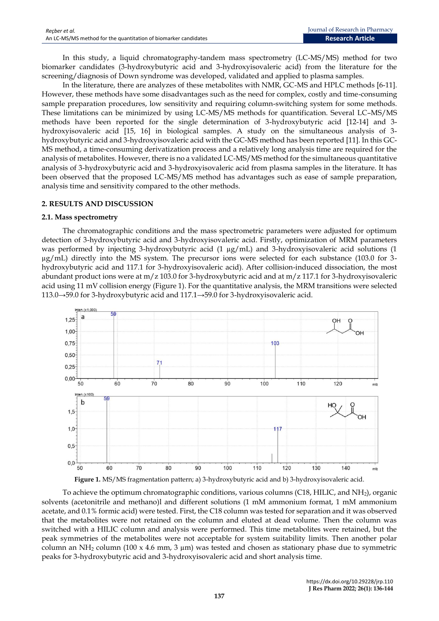In this study, a liquid chromatography-tandem mass spectrometry (LC-MS/MS) method for two biomarker candidates (3-hydroxybutyric acid and 3-hydroxyisovaleric acid) from the literature for the screening/diagnosis of Down syndrome was developed, validated and applied to plasma samples.

In the literature, there are analyzes of these metabolites with NMR, GC-MS and HPLC methods [6-11]. However, these methods have some disadvantages such as the need for complex, costly and time-consuming sample preparation procedures, low sensitivity and requiring column-switching system for some methods. These limitations can be minimized by using LC-MS/MS methods for quantification. Several LC–MS/MS methods have been reported for the single determination of 3-hydroxybutyric acid [12-14] and 3 hydroxyisovaleric acid [15, 16] in biological samples. A study on the simultaneous analysis of 3 hydroxybutyric acid and 3-hydroxyisovaleric acid with the GC-MS method has been reported [11]. In this GC-MS method, a time-consuming derivatization process and a relatively long analysis time are required for the analysis of metabolites. However, there is no a validated LC-MS/MS method for the simultaneous quantitative analysis of 3-hydroxybutyric acid and 3-hydroxyisovaleric acid from plasma samples in the literature. It has been observed that the proposed LC-MS/MS method has advantages such as ease of sample preparation, analysis time and sensitivity compared to the other methods.

#### **2. RESULTS AND DISCUSSION**

#### **2.1. Mass spectrometry**

The chromatographic conditions and the mass spectrometric parameters were adjusted for optimum detection of 3-hydroxybutyric acid and 3-hydroxyisovaleric acid. Firstly, optimization of MRM parameters was performed by injecting 3-hydroxybutyric acid (1 µg/mL) and 3-hydroxyisovaleric acid solutions (1  $\mu$ g/mL) directly into the MS system. The precursor ions were selected for each substance (103.0 for 3hydroxybutyric acid and 117.1 for 3-hydroxyisovaleric acid). After collision-induced dissociation, the most abundant product ions were at m/z 103.0 for 3-hydroxybutyric acid and at m/z 117.1 for 3-hydroxyisovaleric acid using 11 mV collision energy (Figure 1). For the quantitative analysis, the MRM transitions were selected 113.0→59.0 for 3-hydroxybutyric acid and 117.1→59.0 for 3-hydroxyisovaleric acid.



**Figure 1.** MS/MS fragmentation pattern; a) 3-hydroxybutyric acid and b) 3-hydroxyisovaleric acid.

To achieve the optimum chromatographic conditions, various columns (C18, HILIC, and NH2), organic solvents (acetonitrile and methano)l and different solutions (1 mM ammonium format, 1 mM ammonium acetate, and 0.1% formic acid) were tested. First, the C18 column was tested for separation and it was observed that the metabolites were not retained on the column and eluted at dead volume. Then the column was switched with a HILIC column and analysis were performed. This time metabolites were retained, but the peak symmetries of the metabolites were not acceptable for system suitability limits. Then another polar column an NH<sub>2</sub> column (100 x 4.6 mm, 3  $\mu$ m) was tested and chosen as stationary phase due to symmetric peaks for 3-hydroxybutyric acid and 3-hydroxyisovaleric acid and short analysis time.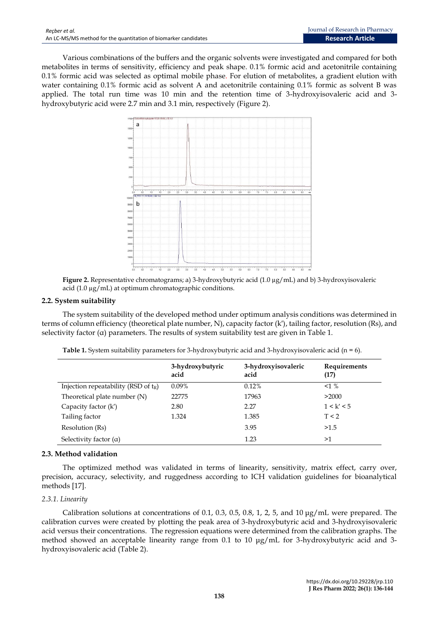Various combinations of the buffers and the organic solvents were investigated and compared for both metabolites in terms of sensitivity, efficiency and peak shape. 0.1% formic acid and acetonitrile containing 0.1% formic acid was selected as optimal mobile phase. For elution of metabolites, a gradient elution with water containing 0.1% formic acid as solvent A and acetonitrile containing 0.1% formic as solvent B was applied. The total run time was 10 min and the retention time of 3-hydroxyisovaleric acid and 3 hydroxybutyric acid were 2.7 min and 3.1 min, respectively (Figure 2).



**Figure 2.** Representative chromatograms; a) 3-hydroxybutyric acid (1.0 µg/mL) and b) 3-hydroxyisovaleric acid  $(1.0 \,\mu$ g/mL) at optimum chromatographic conditions.

# **2.2. System suitability**

The system suitability of the developed method under optimum analysis conditions was determined in terms of column efficiency (theoretical plate number, N), capacity factor (k′), tailing factor, resolution (Rs), and selectivity factor  $(a)$  parameters. The results of system suitability test are given in Table 1.

|                                         | 3-hydroxybutyric<br>acid | 3-hydroxyisovaleric<br>acid | Requirements<br>(17) |
|-----------------------------------------|--------------------------|-----------------------------|----------------------|
| Injection repeatability (RSD of $t_R$ ) | $0.09\%$                 | 0.12%                       | $<1\%$               |
| Theoretical plate number (N)            | 22775                    | 17963                       | >2000                |
| Capacity factor (k')                    | 2.80                     | 2.27                        | 1 < k' < 5           |
| Tailing factor                          | 1.324                    | 1.385                       | T < 2                |
| Resolution (Rs)                         |                          | 3.95                        | >1.5                 |
| Selectivity factor $(\alpha)$           |                          | 1.23                        | >1                   |

**Table 1.** System suitability parameters for 3-hydroxybutyric acid and 3-hydroxyisovaleric acid (n = 6).

# **2.3. Method validation**

The optimized method was validated in terms of linearity, sensitivity, matrix effect, carry over, precision, accuracy, selectivity, and ruggedness according to ICH validation guidelines for bioanalytical methods [17].

# *2.3.1. Linearity*

Calibration solutions at concentrations of 0.1, 0.3, 0.5, 0.8, 1, 2, 5, and 10  $\mu$ g/mL were prepared. The calibration curves were created by plotting the peak area of 3-hydroxybutyric acid and 3-hydroxyisovaleric acid versus their concentrations. The regression equations were determined from the calibration graphs. The method showed an acceptable linearity range from 0.1 to 10 μg/mL for 3-hydroxybutyric acid and 3 hydroxyisovaleric acid (Table 2).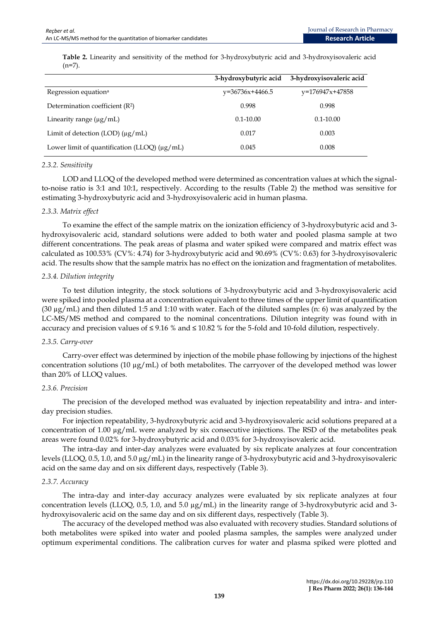|                                                   | 3-hydroxybutyric acid | 3-hydroxyisovaleric acid |
|---------------------------------------------------|-----------------------|--------------------------|
| Regression equation <sup>a</sup>                  | $v=36736x+4466.5$     | $v=176947x+47858$        |
| Determination coefficient (R <sup>2</sup> )       | 0.998                 | 0.998                    |
| Linearity range $(\mu g/ml)$                      | $0.1 - 10.00$         | $0.1 - 10.00$            |
| Limit of detection (LOD) $(\mu g/mL)$             | 0.017                 | 0.003                    |
| Lower limit of quantification (LLOQ) $(\mu g/mL)$ | 0.045                 | 0.008                    |

**Table 2.** Linearity and sensitivity of the method for 3-hydroxybutyric acid and 3-hydroxyisovaleric acid  $(n=7)$ .

#### *2.3.2. Sensitivity*

LOD and LLOQ of the developed method were determined as concentration values at which the signalto-noise ratio is 3:1 and 10:1, respectively. According to the results (Table 2) the method was sensitive for estimating 3-hydroxybutyric acid and 3-hydroxyisovaleric acid in human plasma.

#### *2.3.3. Matrix effect*

To examine the effect of the sample matrix on the ionization efficiency of 3-hydroxybutyric acid and 3 hydroxyisovaleric acid, standard solutions were added to both water and pooled plasma sample at two different concentrations. The peak areas of plasma and water spiked were compared and matrix effect was calculated as 100.53% (CV%: 4.74) for 3-hydroxybutyric acid and 90.69% (CV%: 0.63) for 3-hydroxyisovaleric acid. The results show that the sample matrix has no effect on the ionization and fragmentation of metabolites.

#### *2.3.4. Dilution integrity*

To test dilution integrity, the stock solutions of 3-hydroxybutyric acid and 3-hydroxyisovaleric acid were spiked into pooled plasma at a concentration equivalent to three times of the upper limit of quantification  $(30 \mu g/mL)$  and then diluted 1:5 and 1:10 with water. Each of the diluted samples (n: 6) was analyzed by the LC-MS/MS method and compared to the nominal concentrations. Dilution integrity was found with in accuracy and precision values of  $\leq 9.16$  % and  $\leq 10.82$  % for the 5-fold and 10-fold dilution, respectively.

# *2.3.5. Carry-over*

Carry-over effect was determined by injection of the mobile phase following by injections of the highest concentration solutions (10  $\mu$ g/mL) of both metabolites. The carryover of the developed method was lower than 20% of LLOQ values.

#### *2.3.6. Precision*

The precision of the developed method was evaluated by injection repeatability and intra- and interday precision studies.

For injection repeatability, 3-hydroxybutyric acid and 3-hydroxyisovaleric acid solutions prepared at a concentration of 1.00  $\mu$ g/mL were analyzed by six consecutive injections. The RSD of the metabolites peak areas were found 0.02% for 3-hydroxybutyric acid and 0.03% for 3-hydroxyisovaleric acid.

The intra-day and inter-day analyzes were evaluated by six replicate analyzes at four concentration levels (LLOQ, 0.5, 1.0, and 5.0 µg/mL) in the linearity range of 3-hydroxybutyric acid and 3-hydroxyisovaleric acid on the same day and on six different days, respectively (Table 3).

#### *2.3.7. Accuracy*

The intra-day and inter-day accuracy analyzes were evaluated by six replicate analyzes at four concentration levels (LLOQ, 0.5, 1.0, and 5.0 µg/mL) in the linearity range of 3-hydroxybutyric acid and 3 hydroxyisovaleric acid on the same day and on six different days, respectively (Table 3).

The accuracy of the developed method was also evaluated with recovery studies. Standard solutions of both metabolites were spiked into water and pooled plasma samples, the samples were analyzed under optimum experimental conditions. The calibration curves for water and plasma spiked were plotted and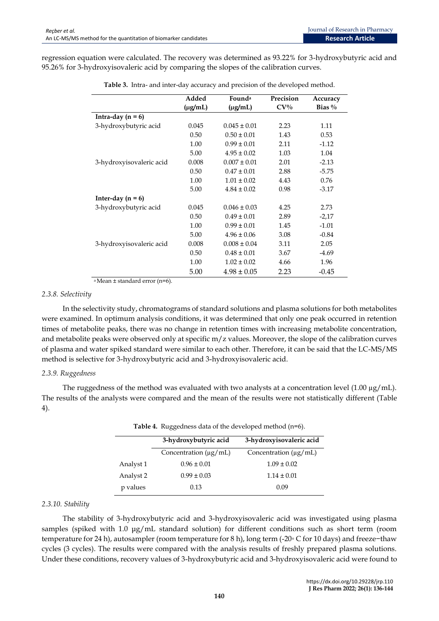regression equation were calculated. The recovery was determined as 93.22% for 3-hydroxybutyric acid and 95.26% for 3-hydroxyisovaleric acid by comparing the slopes of the calibration curves.

|                          | Added        | Founda           | Precision | Accuracy  |
|--------------------------|--------------|------------------|-----------|-----------|
|                          | $(\mu g/mL)$ | $(\mu g/mL)$     | $CV\%$    | Bias $\%$ |
| Intra-day $(n = 6)$      |              |                  |           |           |
| 3-hydroxybutyric acid    | 0.045        | $0.045 \pm 0.01$ | 2.23      | 1.11      |
|                          | 0.50         | $0.50 \pm 0.01$  | 1.43      | 0.53      |
|                          | 1.00         | $0.99 \pm 0.01$  | 2.11      | $-1.12$   |
|                          | 5.00         | $4.95 \pm 0.02$  | 1.03      | 1.04      |
| 3-hydroxyisovaleric acid | 0.008        | $0.007 \pm 0.01$ | 2.01      | $-2.13$   |
|                          | 0.50         | $0.47 \pm 0.01$  | 2.88      | $-5.75$   |
|                          | 1.00         | $1.01 \pm 0.02$  | 4.43      | 0.76      |
|                          | 5.00         | $4.84 \pm 0.02$  | 0.98      | $-3.17$   |
| Inter-day $(n = 6)$      |              |                  |           |           |
| 3-hydroxybutyric acid    | 0.045        | $0.046 \pm 0.03$ | 4.25      | 2.73      |
|                          | 0.50         | $0.49 \pm 0.01$  | 2.89      | $-2,17$   |
|                          | 1.00         | $0.99 \pm 0.01$  | 1.45      | $-1.01$   |
|                          | 5.00         | $4.96 \pm 0.06$  | 3.08      | $-0.84$   |
| 3-hydroxyisovaleric acid | 0.008        | $0.008 \pm 0.04$ | 3.11      | 2.05      |
|                          | 0.50         | $0.48 \pm 0.01$  | 3.67      | $-4.69$   |
|                          | 1.00         | $1.02 \pm 0.02$  | 4.66      | 1.96      |
|                          | 5.00         | $4.98 \pm 0.05$  | 2.23      | $-0.45$   |

|  |  |  |  | Table 3. Intra- and inter-day accuracy and precision of the developed method. |  |
|--|--|--|--|-------------------------------------------------------------------------------|--|
|  |  |  |  |                                                                               |  |

 $a$  Mean  $\pm$  standard error (n=6).

#### *2.3.8. Selectivity*

In the selectivity study, chromatograms of standard solutions and plasma solutions for both metabolites were examined. In optimum analysis conditions, it was determined that only one peak occurred in retention times of metabolite peaks, there was no change in retention times with increasing metabolite concentration, and metabolite peaks were observed only at specific m/z values. Moreover, the slope of the calibration curves of plasma and water spiked standard were similar to each other. Therefore, it can be said that the LC-MS/MS method is selective for 3-hydroxybutyric acid and 3-hydroxyisovaleric acid.

# *2.3.9. Ruggedness*

The ruggedness of the method was evaluated with two analysts at a concentration level  $(1.00 \mu g/mL)$ . The results of the analysts were compared and the mean of the results were not statistically different (Table 4).

|           | 3-hydroxybutyric acid      | 3-hydroxyisovaleric acid   |
|-----------|----------------------------|----------------------------|
|           | Concentration $(\mu g/mL)$ | Concentration $(\mu g/mL)$ |
| Analyst 1 | $0.96 \pm 0.01$            | $1.09 \pm 0.02$            |
| Analyst 2 | $0.99 \pm 0.03$            | $1.14 \pm 0.01$            |
| p values  | 0.13                       | 0.09                       |

**Table 4.** Ruggedness data of the developed method (n=6).

# *2.3.10. Stability*

The stability of 3-hydroxybutyric acid and 3-hydroxyisovaleric acid was investigated using plasma samples (spiked with 1.0 μg/mL standard solution) for different conditions such as short term (room temperature for 24 h), autosampler (room temperature for 8 h), long term (-20◦ C for 10 days) and freeze−thaw cycles (3 cycles). The results were compared with the analysis results of freshly prepared plasma solutions. Under these conditions, recovery values of 3-hydroxybutyric acid and 3-hydroxyisovaleric acid were found to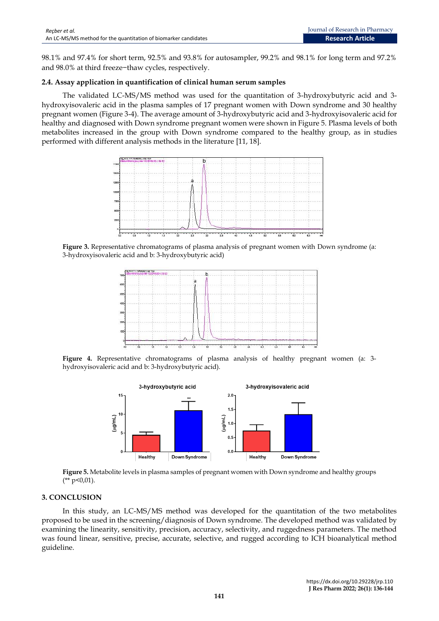98.1% and 97.4% for short term, 92.5% and 93.8% for autosampler, 99.2% and 98.1% for long term and 97.2% and 98.0% at third freeze−thaw cycles, respectively.

# **2.4. Assay application in quantification of clinical human serum samples**

The validated LC-MS/MS method was used for the quantitation of 3-hydroxybutyric acid and 3 hydroxyisovaleric acid in the plasma samples of 17 pregnant women with Down syndrome and 30 healthy pregnant women (Figure 3-4). The average amount of 3-hydroxybutyric acid and 3-hydroxyisovaleric acid for healthy and diagnosed with Down syndrome pregnant women were shown in Figure 5. Plasma levels of both metabolites increased in the group with Down syndrome compared to the healthy group, as in studies performed with different analysis methods in the literature [11, 18].



**Figure 3.** Representative chromatograms of plasma analysis of pregnant women with Down syndrome (a: 3-hydroxyisovaleric acid and b: 3-hydroxybutyric acid)



**Figure 4.** Representative chromatograms of plasma analysis of healthy pregnant women (a: 3 hydroxyisovaleric acid and b: 3-hydroxybutyric acid).



**Figure 5.** Metabolite levels in plasma samples of pregnant women with Down syndrome and healthy groups  $(* k p < 0.01).$ 

# **3. CONCLUSION**

In this study, an LC-MS/MS method was developed for the quantitation of the two metabolites proposed to be used in the screening/diagnosis of Down syndrome. The developed method was validated by examining the linearity, sensitivity, precision, accuracy, selectivity, and ruggedness parameters. The method was found linear, sensitive, precise, accurate, selective, and rugged according to ICH bioanalytical method guideline.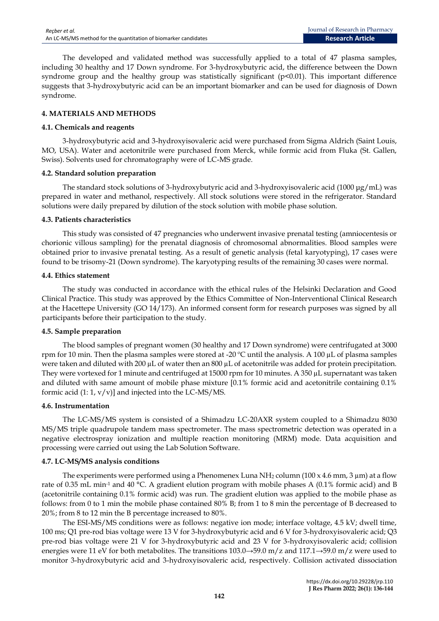The developed and validated method was successfully applied to a total of 47 plasma samples, including 30 healthy and 17 Down syndrome. For 3-hydroxybutyric acid, the difference between the Down syndrome group and the healthy group was statistically significant (p<0.01). This important difference suggests that 3-hydroxybutyric acid can be an important biomarker and can be used for diagnosis of Down syndrome.

# **4. MATERIALS AND METHODS**

#### **4.1. Chemicals and reagents**

3-hydroxybutyric acid and 3-hydroxyisovaleric acid were purchased from Sigma Aldrich (Saint Louis, MO, USA). Water and acetonitrile were purchased from Merck, while formic acid from Fluka (St. Gallen, Swiss). Solvents used for chromatography were of LC-MS grade.

#### **4.2. Standard solution preparation**

The standard stock solutions of 3-hydroxybutyric acid and 3-hydroxyisovaleric acid (1000 μg/mL) was prepared in water and methanol, respectively. All stock solutions were stored in the refrigerator. Standard solutions were daily prepared by dilution of the stock solution with mobile phase solution.

#### **4.3. Patients characteristics**

This study was consisted of 47 pregnancies who underwent invasive prenatal testing (amniocentesis or chorionic villous sampling) for the prenatal diagnosis of chromosomal abnormalities. Blood samples were obtained prior to invasive prenatal testing. As a result of genetic analysis (fetal karyotyping), 17 cases were found to be trisomy-21 (Down syndrome). The karyotyping results of the remaining 30 cases were normal.

#### **4.4. Ethics statement**

The study was conducted in accordance with the ethical rules of the Helsinki Declaration and Good Clinical Practice. This study was approved by the Ethics Committee of Non-Interventional Clinical Research at the Hacettepe University (GO 14/173). An informed consent form for research purposes was signed by all participants before their participation to the study.

# **4.5. Sample preparation**

The blood samples of pregnant women (30 healthy and 17 Down syndrome) were centrifugated at 3000 rpm for 10 min. Then the plasma samples were stored at -20 ºC until the analysis. A 100 µL of plasma samples were taken and diluted with 200  $\mu$ L of water then an 800  $\mu$ L of acetonitrile was added for protein precipitation. They were vortexed for 1 minute and centrifuged at 15000 rpm for 10 minutes. A 350 µL supernatant was taken and diluted with same amount of mobile phase mixture [0.1% formic acid and acetonitrile containing 0.1% formic acid  $(1: 1, v/v)$ ] and injected into the LC-MS/MS.

# **4.6. Instrumentation**

The LC-MS/MS system is consisted of a Shimadzu LC-20AXR system coupled to a Shimadzu 8030 MS/MS triple quadrupole tandem mass spectrometer. The mass spectrometric detection was operated in a negative electrospray ionization and multiple reaction monitoring (MRM) mode. Data acquisition and processing were carried out using the Lab Solution Software.

# **4.7. LC-MS/MS analysis conditions**

The experiments were performed using a Phenomenex Luna  $NH<sub>2</sub>$  column (100 x 4.6 mm, 3  $\mu$ m) at a flow rate of 0.35 mL min-1 and 40 °C. A gradient elution program with mobile phases A (0.1% formic acid) and B (acetonitrile containing 0.1% formic acid) was run. The gradient elution was applied to the mobile phase as follows: from 0 to 1 min the mobile phase contained 80% B; from 1 to 8 min the percentage of B decreased to 20%; from 8 to 12 min the B percentage increased to 80%.

The ESI-MS/MS conditions were as follows: negative ion mode; interface voltage, 4.5 kV; dwell time, 100 ms; Q1 pre-rod bias voltage were 13 V for 3-hydroxybutyric acid and 6 V for 3-hydroxyisovaleric acid; Q3 pre-rod bias voltage were 21 V for 3-hydroxybutyric acid and 23 V for 3-hydroxyisovaleric acid; collision energies were 11 eV for both metabolites. The transitions 103.0→59.0 m/z and 117.1→59.0 m/z were used to monitor 3-hydroxybutyric acid and 3-hydroxyisovaleric acid, respectively. Collision activated dissociation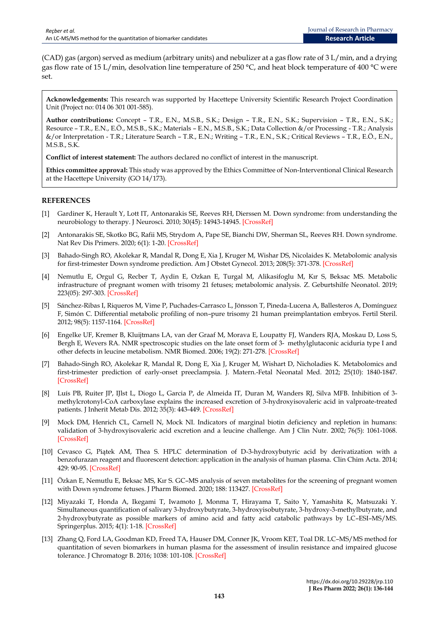(CAD) gas (argon) served as medium (arbitrary units) and nebulizer at a gas flow rate of 3 L/min, and a drying gas flow rate of 15 L/min, desolvation line temperature of 250 °C, and heat block temperature of 400 °C were set.

**Acknowledgements:** This research was supported by Hacettepe University Scientific Research Project Coordination Unit (Project no: 014 06 301 001-585).

**Author contributions:** Concept – T.R., E.N., M.S.B., S.K.; Design – T.R., E.N., S.K.; Supervision – T.R., E.N., S.K.; Resource – T.R., E.N., E.Ö., M.S.B., S.K.; Materials – E.N., M.S.B., S.K.; Data Collection &/or Processing - T.R.; Analysis &/or Interpretation - T.R.; Literature Search – T.R., E.N.; Writing – T.R., E.N., S.K.; Critical Reviews – T.R., E.Ö., E.N., M.S.B., S.K.

**Conflict of interest statement:** The authors declared no conflict of interest in the manuscript.

**Ethics committee approval:** This study was approved by the Ethics Committee of Non-Interventional Clinical Research at the Hacettepe University (GO 14/173).

# **REFERENCES**

- [1] Gardiner K, Herault Y, Lott IT, Antonarakis SE, Reeves RH, Dierssen M. Down syndrome: from understanding the neurobiology to therapy. J Neurosci. 2010; 30(45): 14943-14945. [\[CrossRef\]](https://doi.org/10.1523/JNEUROSCI.3728-10.2010)
- [2] Antonarakis SE, Skotko BG, Rafii MS, Strydom A, Pape SE, Bianchi DW, Sherman SL, Reeves RH. Down syndrome. Nat Rev Dis Primers. 2020; 6(1): 1-20. [\[CrossRef\]](https://doi.org/10.1038/s41572-019-0143-7)
- [3] Bahado-Singh RO, Akolekar R, Mandal R, Dong E, Xia J, Kruger M, Wishar DS, Nicolaides K. Metabolomic analysis for first-trimester Down syndrome prediction. Am J Obstet Gynecol. 2013; 208(5): 371-378. [\[CrossRef\]](https://doi.org/10.1016/j.ajog.2012.12.035)
- [4] Nemutlu E, Orgul G, Recber T, Aydin E, Ozkan E, Turgal M, Alikasifoglu M, Kır S, Beksac MS. Metabolic infrastructure of pregnant women with trisomy 21 fetuses; metabolomic analysis. Z. Geburtshilfe Neonatol. 2019; 223(05): 297-303. [\[CrossRef\]](https://doi.org/10.1055/a-0877-7869)
- [5] Sánchez-Ribas I, Riqueros M, Vime P, Puchades-Carrasco L, Jönsson T, Pineda-Lucena A, Ballesteros A, Domínguez F, Simón C. Differential metabolic profiling of non–pure trisomy 21 human preimplantation embryos. Fertil Steril. 2012; 98(5): 1157-1164. [\[CrossRef\]](https://doi.org/10.1016/j.fertnstert.2012.07.1145)
- [6] Engelke UF, Kremer B, Kluijtmans LA, van der Graaf M, Morava E, Loupatty FJ, Wanders RJA, Moskau D, Loss S, Bergh E, Wevers RA. NMR spectroscopic studies on the late onset form of 3‐ methylglutaconic aciduria type I and other defects in leucine metabolism. NMR Biomed. 2006; 19(2): 271-278. [\[CrossRef\]](https://doi.org/10.1002/nbm.1018)
- [7] Bahado-Singh RO, Akolekar R, Mandal R, Dong E, Xia J, Kruger M, Wishart D, Nicholadies K. Metabolomics and first-trimester prediction of early-onset preeclampsia. J. Matern.-Fetal Neonatal Med. 2012; 25(10): 1840-1847. [\[CrossRef\]](https://doi.org/10.3109/14767058.2012.680254)
- [8] Luís PB, Ruiter JP, IJlst L, Diogo L, Garcia P, de Almeida IT, Duran M, Wanders RJ, Silva MFB. Inhibition of 3 methylcrotonyl-CoA carboxylase explains the increased excretion of 3-hydroxyisovaleric acid in valproate-treated patients. J Inherit Metab Dis. 2012; 35(3): 443-449. [\[CrossRef\]](https://doi.org/10.1007/s10545-011-9423-4)
- [9] Mock DM, Henrich CL, Carnell N, Mock NI. Indicators of marginal biotin deficiency and repletion in humans: validation of 3-hydroxyisovaleric acid excretion and a leucine challenge. Am J Clin Nutr. 2002; 76(5): 1061-1068. [\[CrossRef\]](https://doi.org/10.1093/ajcn/76.5.1061)
- [10] Cevasco G, Piątek AM, Thea S. HPLC determination of D-3-hydroxybutyric acid by derivatization with a benzofurazan reagent and fluorescent detection: application in the analysis of human plasma. Clin Chim Acta. 2014; 429: 90-95. [\[CrossRef\]](https://doi.org/10.1016/j.cca.2013.11.030)
- [11] Özkan E, Nemutlu E, Beksac MS, Kır S. GC–MS analysis of seven metabolites for the screening of pregnant women with Down syndrome fetuses. J Pharm Biomed. 2020; 188: 113427. [\[CrossRef\]](https://doi.org/10.1016/j.jpba.2020.113427)
- [12] Miyazaki T, Honda A, Ikegami T, Iwamoto J, Monma T, Hirayama T, Saito Y, Yamashita K, Matsuzaki Y. Simultaneous quantification of salivary 3-hydroxybutyrate, 3-hydroxyisobutyrate, 3-hydroxy-3-methylbutyrate, and 2-hydroxybutyrate as possible markers of amino acid and fatty acid catabolic pathways by LC–ESI–MS/MS. Springerplus. 2015; 4(1): 1-18. [\[CrossRef\]](https://doi.org/10.1186/s40064-015-1304-0)
- [13] Zhang Q, Ford LA, Goodman KD, Freed TA, Hauser DM, Conner JK, Vroom KET, Toal DR. LC–MS/MS method for quantitation of seven biomarkers in human plasma for the assessment of insulin resistance and impaired glucose tolerance. J Chromatogr B. 2016; 1038: 101-108. [\[CrossRef\]](https://doi.org/10.1016/j.jchromb.2016.10.025)